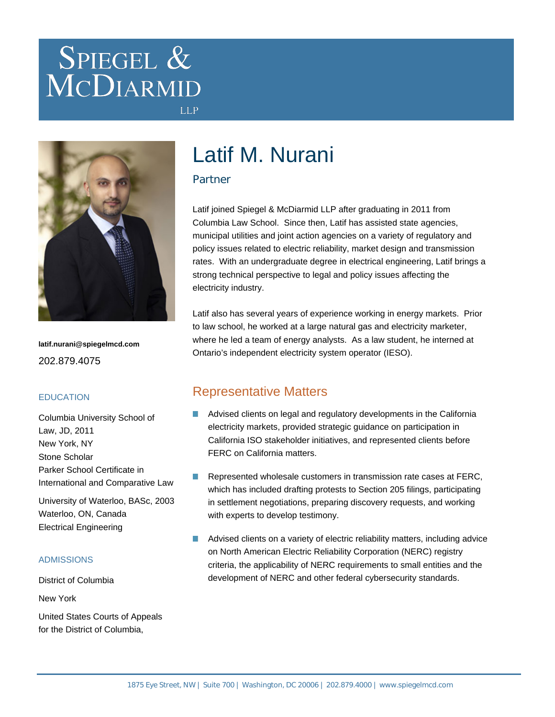# SPIEGEL & MCDIARMID



**latif.nurani@spiegelmcd.com** 202.879.4075

#### **EDUCATION**

Columbia University School of Law, JD, 2011 New York, NY Stone Scholar Parker School Certificate in International and Comparative Law

University of Waterloo, BASc, 2003 Waterloo, ON, Canada Electrical Engineering

#### ADMISSIONS

District of Columbia

New York

United States Courts of Appeals for the District of Columbia,

## Latif M. Nurani

#### Partner

**LLP** 

Latif joined Spiegel & McDiarmid LLP after graduating in 2011 from Columbia Law School. Since then, Latif has assisted state agencies, municipal utilities and joint action agencies on a variety of regulatory and policy issues related to electric reliability, market design and transmission rates. With an undergraduate degree in electrical engineering, Latif brings a strong technical perspective to legal and policy issues affecting the electricity industry.

Latif also has several years of experience working in energy markets. Prior to law school, he worked at a large natural gas and electricity marketer, where he led a team of energy analysts. As a law student, he interned at Ontario's independent electricity system operator (IESO).

## Representative Matters

- **Advised clients on legal and regulatory developments in the California** electricity markets, provided strategic guidance on participation in California ISO stakeholder initiatives, and represented clients before FERC on California matters.
- Represented wholesale customers in transmission rate cases at FERC, **Tal** which has included drafting protests to Section 205 filings, participating in settlement negotiations, preparing discovery requests, and working with experts to develop testimony.
- **A** Advised clients on a variety of electric reliability matters, including advice on North American Electric Reliability Corporation (NERC) registry criteria, the applicability of NERC requirements to small entities and the development of NERC and other federal cybersecurity standards.